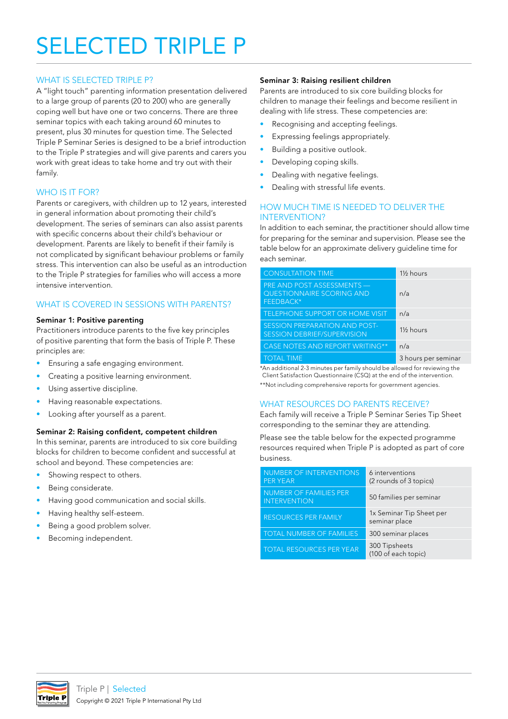# SELECTED TRIPLE P

## WHAT IS SELECTED TRIPLE P?

A "light touch" parenting information presentation delivered to a large group of parents (20 to 200) who are generally coping well but have one or two concerns. There are three seminar topics with each taking around 60 minutes to present, plus 30 minutes for question time. The Selected Triple P Seminar Series is designed to be a brief introduction to the Triple P strategies and will give parents and carers you work with great ideas to take home and try out with their family.

# WHO IS IT FOR?

Parents or caregivers, with children up to 12 years, interested in general information about promoting their child's development. The series of seminars can also assist parents with specific concerns about their child's behaviour or development. Parents are likely to benefit if their family is not complicated by significant behaviour problems or family stress. This intervention can also be useful as an introduction to the Triple P strategies for families who will access a more intensive intervention.

# WHAT IS COVERED IN SESSIONS WITH PARENTS?

#### Seminar 1: Positive parenting

Practitioners introduce parents to the five key principles of positive parenting that form the basis of Triple P. These principles are:

- Ensuring a safe engaging environment.
- Creating a positive learning environment.
- Using assertive discipline.
- Having reasonable expectations.
- Looking after yourself as a parent.

#### Seminar 2: Raising confident, competent children

In this seminar, parents are introduced to six core building blocks for children to become confident and successful at school and beyond. These competencies are:

- Showing respect to others.
- Being considerate.
- Having good communication and social skills.
- Having healthy self-esteem.
- Being a good problem solver.
- Becoming independent.

#### Seminar 3: Raising resilient children

Parents are introduced to six core building blocks for children to manage their feelings and become resilient in dealing with life stress. These competencies are:

- Recognising and accepting feelings.
- Expressing feelings appropriately.
- Building a positive outlook.
- Developing coping skills.
- Dealing with negative feelings.
- Dealing with stressful life events.

#### HOW MUCH TIME IS NEEDED TO DELIVER THE INTERVENTION?

In addition to each seminar, the practitioner should allow time for preparing for the seminar and supervision. Please see the table below for an approximate delivery guideline time for each seminar.

| <b>CONSULTATION TIME</b>                                                    | 1 <sup>1</sup> / <sub>2</sub> hours |
|-----------------------------------------------------------------------------|-------------------------------------|
| PRE AND POST ASSESSMENTS —<br><b>QUESTIONNAIRE SCORING AND</b><br>FEEDBACK* | n/a                                 |
| TELEPHONE SUPPORT OR HOME VISIT                                             | n/a                                 |
| <b>SESSION PREPARATION AND POST-</b><br><b>SESSION DEBRIEF/SUPERVISION</b>  | 1 <sup>1</sup> / <sub>2</sub> hours |
| <b>CASE NOTES AND REPORT WRITING**</b>                                      | n/a                                 |
| <b>TOTAL TIME</b>                                                           | 3 hours per seminar                 |

\*An additional 2-3 minutes per family should be allowed for reviewing the Client Satisfaction Questionnaire (CSQ) at the end of the intervention. \*\*Not including comprehensive reports for government agencies.

## WHAT RESOURCES DO PARENTS RECEIVE?

Each family will receive a Triple P Seminar Series Tip Sheet corresponding to the seminar they are attending.

Please see the table below for the expected programme resources required when Triple P is adopted as part of core business.

| NUMBER OF INTERVENTIONS<br><b>PER YEAR</b>           | 6 interventions<br>(2 rounds of 3 topics) |
|------------------------------------------------------|-------------------------------------------|
| <b>NUMBER OF FAMILIES PER</b><br><b>INTERVENTION</b> | 50 families per seminar                   |
| <b>RESOURCES PER FAMILY</b>                          | 1x Seminar Tip Sheet per<br>seminar place |
| <b>TOTAL NUMBER OF FAMILIES</b>                      | 300 seminar places                        |
| <b>TOTAL RESOURCES PER YEAR</b>                      | 300 Tipsheets<br>(100 of each topic)      |